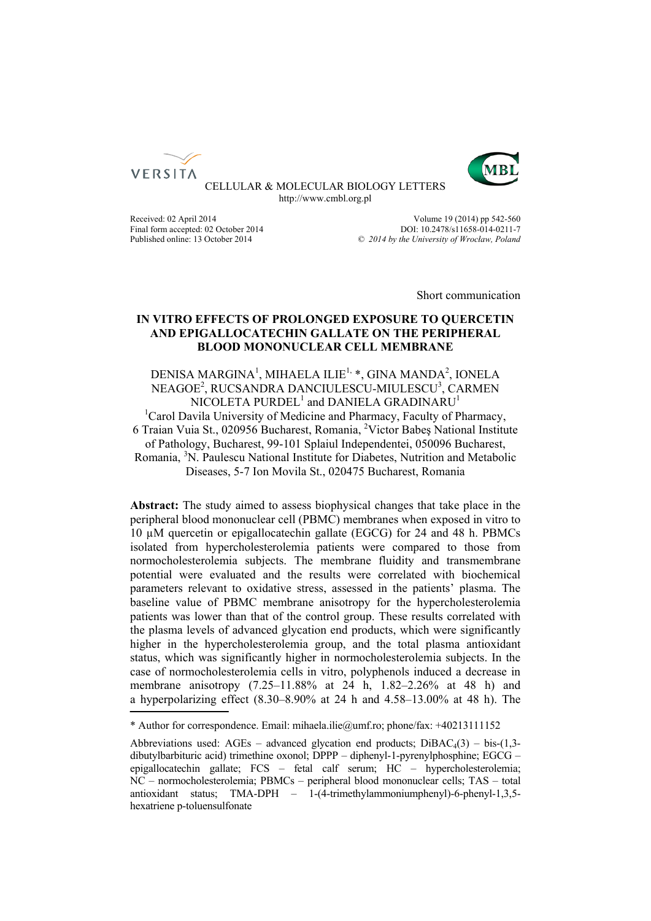



CELLULAR & MOLECULAR BIOLOGY LETTERS http://www.cmbl.org.pl

Final form accepted: 02 October 2014<br>Published online: 13 October 2014

Received: 02 April 2014<br>
Final form accepted: 02 October 2014<br>
POI: 10.2478/s11658-014-0211-7 Published online: 13 October 2014 *© 2014 by the University of Wrocław, Poland*

Short communication

# **IN VITRO EFFECTS OF PROLONGED EXPOSURE TO QUERCETIN AND EPIGALLOCATECHIN GALLATE ON THE PERIPHERAL BLOOD MONONUCLEAR CELL MEMBRANE**

DENISA MARGINA<sup>1</sup>, MIHAELA ILIE<sup>1,</sup> \*, GINA MANDA<sup>2</sup>, IONELA NEAGOE<sup>2</sup>, RUCSANDRA DANCIULESCU-MIULESCU<sup>3</sup>, CARMEN NICOLETA  $\mathsf{PURDEL}^1$  and  $\mathsf{DANIELA}$  GRADINARU $^1$ <sup>1</sup>Carol Davila University of Medicine and Pharmacy, Faculty of Pharmacy, 6 Traian Vuia St., 020956 Bucharest, Romania, 2 Victor Babeş National Institute of Pathology, Bucharest, 99-101 Splaiul Independentei, 050096 Bucharest, Romania, <sup>3</sup>N. Paulescu National Institute for Diabetes, Nutrition and Metabolic Diseases, 5-7 Ion Movila St., 020475 Bucharest, Romania

**Abstract:** The study aimed to assess biophysical changes that take place in the peripheral blood mononuclear cell (PBMC) membranes when exposed in vitro to 10 µM quercetin or epigallocatechin gallate (EGCG) for 24 and 48 h. PBMCs isolated from hypercholesterolemia patients were compared to those from normocholesterolemia subjects. The membrane fluidity and transmembrane potential were evaluated and the results were correlated with biochemical parameters relevant to oxidative stress, assessed in the patients' plasma. The baseline value of PBMC membrane anisotropy for the hypercholesterolemia patients was lower than that of the control group. These results correlated with the plasma levels of advanced glycation end products, which were significantly higher in the hypercholesterolemia group, and the total plasma antioxidant status, which was significantly higher in normocholesterolemia subjects. In the case of normocholesterolemia cells in vitro, polyphenols induced a decrease in membrane anisotropy (7.25–11.88% at 24 h, 1.82–2.26% at 48 h) and a hyperpolarizing effect (8.30–8.90% at 24 h and 4.58–13.00% at 48 h). The

<sup>\*</sup> Author for correspondence. Email: mihaela.ilie@umf.ro; phone/fax: +40213111152

Abbreviations used: AGEs – advanced glycation end products;  $DiBAC<sub>4</sub>(3) - bis-(1,3-1)$ dibutylbarbituric acid) trimethine oxonol; DPPP – diphenyl-1-pyrenylphosphine; EGCG – epigallocatechin gallate; FCS – fetal calf serum; HC – hypercholesterolemia; NC – normocholesterolemia; PBMCs – peripheral blood mononuclear cells; TAS – total antioxidant status; TMA-DPH – 1-(4-trimethylammoniumphenyl)-6-phenyl-1,3,5 hexatriene p-toluensulfonate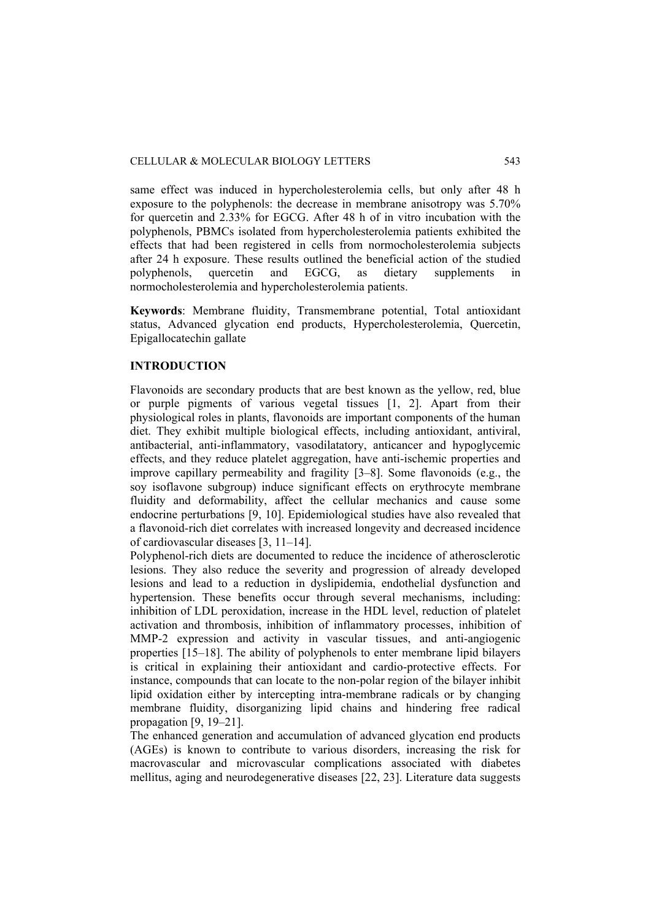same effect was induced in hypercholesterolemia cells, but only after 48 h exposure to the polyphenols: the decrease in membrane anisotropy was 5.70% for quercetin and 2.33% for EGCG. After 48 h of in vitro incubation with the polyphenols, PBMCs isolated from hypercholesterolemia patients exhibited the effects that had been registered in cells from normocholesterolemia subjects after 24 h exposure. These results outlined the beneficial action of the studied polyphenols, quercetin and EGCG, as dietary supplements in normocholesterolemia and hypercholesterolemia patients.

**Keywords**: Membrane fluidity, Transmembrane potential, Total antioxidant status, Advanced glycation end products, Hypercholesterolemia, Quercetin, Epigallocatechin gallate

# **INTRODUCTION**

Flavonoids are secondary products that are best known as the yellow, red, blue or purple pigments of various vegetal tissues [1, 2]. Apart from their physiological roles in plants, flavonoids are important components of the human diet. They exhibit multiple biological effects, including antioxidant, antiviral, antibacterial, anti-inflammatory, vasodilatatory, anticancer and hypoglycemic effects, and they reduce platelet aggregation, have anti-ischemic properties and improve capillary permeability and fragility [3–8]. Some flavonoids (e.g., the soy isoflavone subgroup) induce significant effects on erythrocyte membrane fluidity and deformability, affect the cellular mechanics and cause some endocrine perturbations [9, 10]. Epidemiological studies have also revealed that a flavonoid-rich diet correlates with increased longevity and decreased incidence of cardiovascular diseases [3, 11–14].

Polyphenol-rich diets are documented to reduce the incidence of atherosclerotic lesions. They also reduce the severity and progression of already developed lesions and lead to a reduction in dyslipidemia, endothelial dysfunction and hypertension. These benefits occur through several mechanisms, including: inhibition of LDL peroxidation, increase in the HDL level, reduction of platelet activation and thrombosis, inhibition of inflammatory processes, inhibition of MMP-2 expression and activity in vascular tissues, and anti-angiogenic properties [15–18]. The ability of polyphenols to enter membrane lipid bilayers is critical in explaining their antioxidant and cardio-protective effects. For instance, compounds that can locate to the non-polar region of the bilayer inhibit lipid oxidation either by intercepting intra-membrane radicals or by changing membrane fluidity, disorganizing lipid chains and hindering free radical propagation [9, 19–21].

The enhanced generation and accumulation of advanced glycation end products (AGEs) is known to contribute to various disorders, increasing the risk for macrovascular and microvascular complications associated with diabetes mellitus, aging and neurodegenerative diseases [22, 23]. Literature data suggests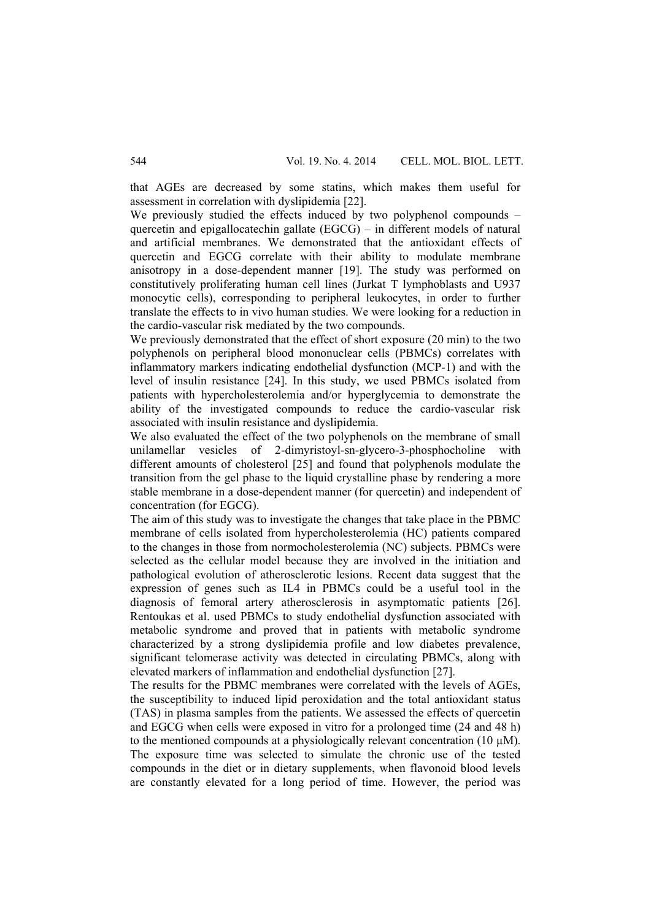that AGEs are decreased by some statins, which makes them useful for assessment in correlation with dyslipidemia [22].

We previously studied the effects induced by two polyphenol compounds – quercetin and epigallocatechin gallate (EGCG) – in different models of natural and artificial membranes. We demonstrated that the antioxidant effects of quercetin and EGCG correlate with their ability to modulate membrane anisotropy in a dose-dependent manner [19]. The study was performed on constitutively proliferating human cell lines (Jurkat T lymphoblasts and U937 monocytic cells), corresponding to peripheral leukocytes, in order to further translate the effects to in vivo human studies. We were looking for a reduction in the cardio-vascular risk mediated by the two compounds.

We previously demonstrated that the effect of short exposure (20 min) to the two polyphenols on peripheral blood mononuclear cells (PBMCs) correlates with inflammatory markers indicating endothelial dysfunction (MCP-1) and with the level of insulin resistance [24]. In this study, we used PBMCs isolated from patients with hypercholesterolemia and/or hyperglycemia to demonstrate the ability of the investigated compounds to reduce the cardio-vascular risk associated with insulin resistance and dyslipidemia.

We also evaluated the effect of the two polyphenols on the membrane of small unilamellar vesicles of 2-dimyristoyl-sn-glycero-3-phosphocholine with different amounts of cholesterol [25] and found that polyphenols modulate the transition from the gel phase to the liquid crystalline phase by rendering a more stable membrane in a dose-dependent manner (for quercetin) and independent of concentration (for EGCG).

The aim of this study was to investigate the changes that take place in the PBMC membrane of cells isolated from hypercholesterolemia (HC) patients compared to the changes in those from normocholesterolemia (NC) subjects. PBMCs were selected as the cellular model because they are involved in the initiation and pathological evolution of atherosclerotic lesions. Recent data suggest that the expression of genes such as IL4 in PBMCs could be a useful tool in the diagnosis of femoral artery atherosclerosis in asymptomatic patients [26]. Rentoukas et al. used PBMCs to study endothelial dysfunction associated with metabolic syndrome and proved that in patients with metabolic syndrome characterized by a strong dyslipidemia profile and low diabetes prevalence, significant telomerase activity was detected in circulating PBMCs, along with elevated markers of inflammation and endothelial dysfunction [27].

The results for the PBMC membranes were correlated with the levels of AGEs, the susceptibility to induced lipid peroxidation and the total antioxidant status (TAS) in plasma samples from the patients. We assessed the effects of quercetin and EGCG when cells were exposed in vitro for a prolonged time (24 and 48 h) to the mentioned compounds at a physiologically relevant concentration (10  $\mu$ M). The exposure time was selected to simulate the chronic use of the tested compounds in the diet or in dietary supplements, when flavonoid blood levels are constantly elevated for a long period of time. However, the period was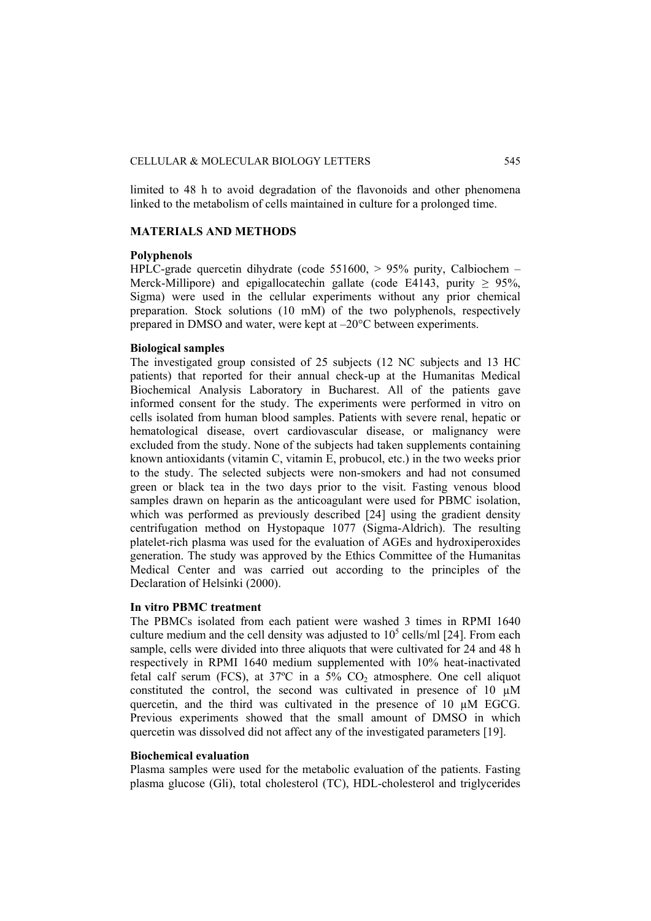limited to 48 h to avoid degradation of the flavonoids and other phenomena linked to the metabolism of cells maintained in culture for a prolonged time.

### **MATERIALS AND METHODS**

## **Polyphenols**

HPLC-grade quercetin dihydrate (code 551600, > 95% purity, Calbiochem – Merck-Millipore) and epigallocatechin gallate (code E4143, purity  $\geq$  95%, Sigma) were used in the cellular experiments without any prior chemical preparation. Stock solutions (10 mM) of the two polyphenols, respectively prepared in DMSO and water, were kept at –20°C between experiments.

#### **Biological samples**

The investigated group consisted of 25 subjects (12 NC subjects and 13 HC patients) that reported for their annual check-up at the Humanitas Medical Biochemical Analysis Laboratory in Bucharest. All of the patients gave informed consent for the study. The experiments were performed in vitro on cells isolated from human blood samples. Patients with severe renal, hepatic or hematological disease, overt cardiovascular disease, or malignancy were excluded from the study. None of the subjects had taken supplements containing known antioxidants (vitamin C, vitamin E, probucol, etc.) in the two weeks prior to the study. The selected subjects were non-smokers and had not consumed green or black tea in the two days prior to the visit. Fasting venous blood samples drawn on heparin as the anticoagulant were used for PBMC isolation, which was performed as previously described [24] using the gradient density centrifugation method on Hystopaque 1077 (Sigma-Aldrich). The resulting platelet-rich plasma was used for the evaluation of AGEs and hydroxiperoxides generation. The study was approved by the Ethics Committee of the Humanitas Medical Center and was carried out according to the principles of the Declaration of Helsinki (2000).

#### **In vitro PBMC treatment**

The PBMCs isolated from each patient were washed 3 times in RPMI 1640 culture medium and the cell density was adjusted to  $10^5$  cells/ml [24]. From each sample, cells were divided into three aliquots that were cultivated for 24 and 48 h respectively in RPMI 1640 medium supplemented with 10% heat-inactivated fetal calf serum (FCS), at  $37^{\circ}$ C in a  $5\%$  CO<sub>2</sub> atmosphere. One cell aliquot constituted the control, the second was cultivated in presence of 10 µM quercetin, and the third was cultivated in the presence of 10 µM EGCG. Previous experiments showed that the small amount of DMSO in which quercetin was dissolved did not affect any of the investigated parameters [19].

#### **Biochemical evaluation**

Plasma samples were used for the metabolic evaluation of the patients. Fasting plasma glucose (Gli), total cholesterol (TC), HDL-cholesterol and triglycerides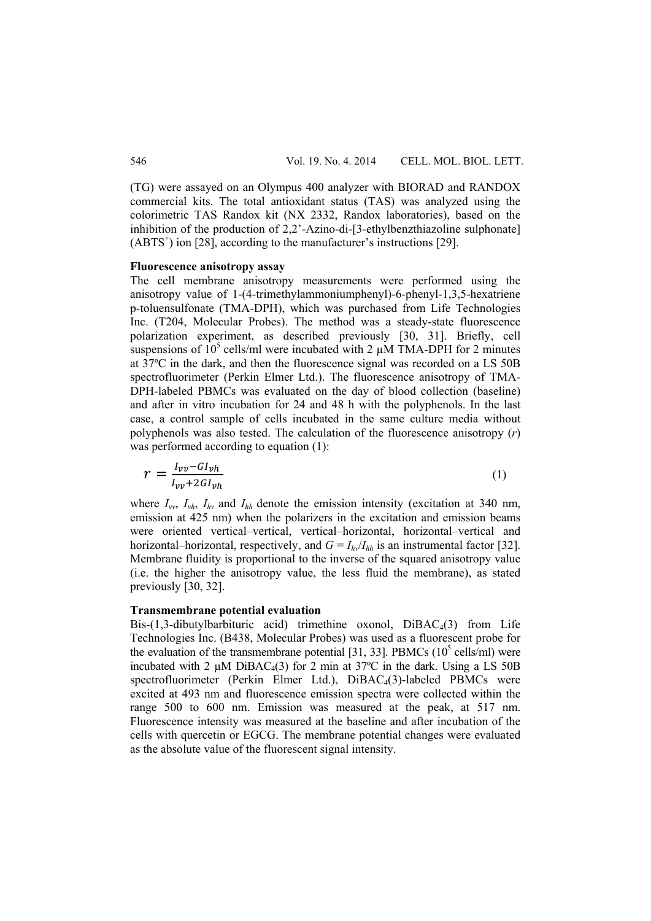(TG) were assayed on an Olympus 400 analyzer with BIORAD and RANDOX commercial kits. The total antioxidant status (TAS) was analyzed using the colorimetric TAS Randox kit (NX 2332, Randox laboratories), based on the inhibition of the production of 2,2'-Azino-di-[3-ethylbenzthiazoline sulphonate]  $(ABTS<sup>+</sup>)$  ion [28], according to the manufacturer's instructions [29].

#### **Fluorescence anisotropy assay**

The cell membrane anisotropy measurements were performed using the anisotropy value of 1-(4-trimethylammoniumphenyl)-6-phenyl-1,3,5-hexatriene p-toluensulfonate (TMA-DPH), which was purchased from Life Technologies Inc. (T204, Molecular Probes). The method was a steady-state fluorescence polarization experiment, as described previously [30, 31]. Briefly, cell suspensions of  $10^5$  cells/ml were incubated with 2  $\mu$ M TMA-DPH for 2 minutes at 37ºC in the dark, and then the fluorescence signal was recorded on a LS 50B spectrofluorimeter (Perkin Elmer Ltd.). The fluorescence anisotropy of TMA-DPH-labeled PBMCs was evaluated on the day of blood collection (baseline) and after in vitro incubation for 24 and 48 h with the polyphenols. In the last case, a control sample of cells incubated in the same culture media without polyphenols was also tested. The calculation of the fluorescence anisotropy (*r*) was performed according to equation (1):

$$
r = \frac{I_{vv} - GI_{vh}}{I_{vv} + 2GI_{vh}}\tag{1}
$$

where *Ivv*, *Ivh*, *Ihv* and *Ihh* denote the emission intensity (excitation at 340 nm, emission at 425 nm) when the polarizers in the excitation and emission beams were oriented vertical–vertical, vertical–horizontal, horizontal–vertical and horizontal–horizontal, respectively, and  $G = I_{hv}/I_{hh}$  is an instrumental factor [32]. Membrane fluidity is proportional to the inverse of the squared anisotropy value (i.e. the higher the anisotropy value, the less fluid the membrane), as stated previously [30, 32].

#### **Transmembrane potential evaluation**

Bis- $(1,3$ -dibutylbarbituric acid) trimethine oxonol, DiBAC<sub>4</sub>(3) from Life Technologies Inc. (B438, Molecular Probes) was used as a fluorescent probe for the evaluation of the transmembrane potential [31, 33]. PBMCs  $(10<sup>5</sup>$  cells/ml) were incubated with 2  $\mu$ M DiBAC $_4$ (3) for 2 min at 37°C in the dark. Using a LS 50B spectrofluorimeter (Perkin Elmer Ltd.), DiBAC<sub>4</sub>(3)-labeled PBMCs were excited at 493 nm and fluorescence emission spectra were collected within the range 500 to 600 nm. Emission was measured at the peak, at 517 nm. Fluorescence intensity was measured at the baseline and after incubation of the cells with quercetin or EGCG. The membrane potential changes were evaluated as the absolute value of the fluorescent signal intensity.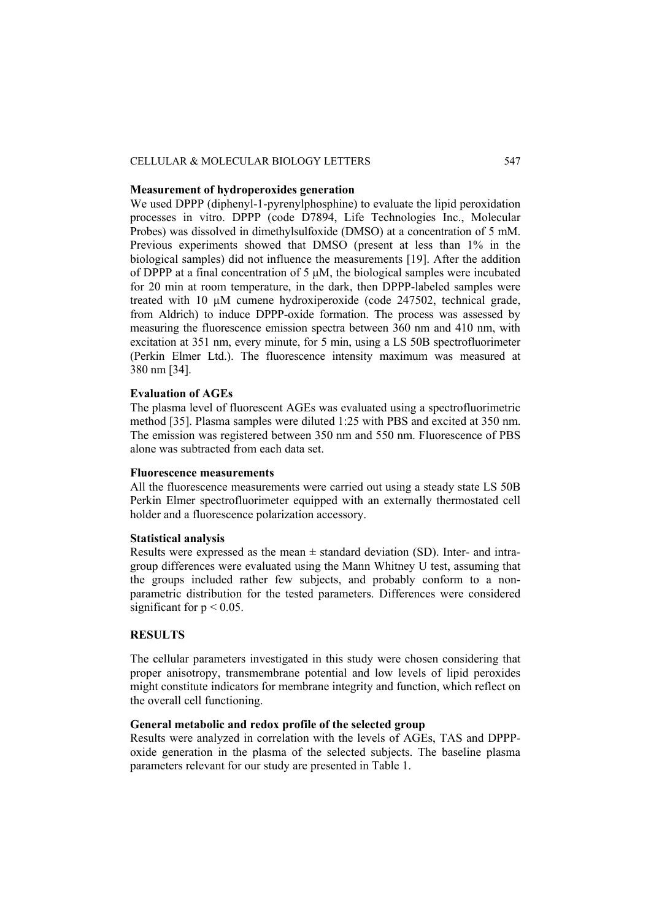## CELLULAR & MOLECULAR BIOLOGY LETTERS 547

### **Measurement of hydroperoxides generation**

We used DPPP (diphenyl-1-pyrenylphosphine) to evaluate the lipid peroxidation processes in vitro. DPPP (code D7894, Life Technologies Inc., Molecular Probes) was dissolved in dimethylsulfoxide (DMSO) at a concentration of 5 mM. Previous experiments showed that DMSO (present at less than 1% in the biological samples) did not influence the measurements [19]. After the addition of DPPP at a final concentration of 5 μM, the biological samples were incubated for 20 min at room temperature, in the dark, then DPPP-labeled samples were treated with 10 µM cumene hydroxiperoxide (code 247502, technical grade, from Aldrich) to induce DPPP-oxide formation. The process was assessed by measuring the fluorescence emission spectra between 360 nm and 410 nm, with excitation at 351 nm, every minute, for 5 min, using a LS 50B spectrofluorimeter (Perkin Elmer Ltd.). The fluorescence intensity maximum was measured at 380 nm [34].

# **Evaluation of AGEs**

The plasma level of fluorescent AGEs was evaluated using a spectrofluorimetric method [35]. Plasma samples were diluted 1:25 with PBS and excited at 350 nm. The emission was registered between 350 nm and 550 nm. Fluorescence of PBS alone was subtracted from each data set.

### **Fluorescence measurements**

All the fluorescence measurements were carried out using a steady state LS 50B Perkin Elmer spectrofluorimeter equipped with an externally thermostated cell holder and a fluorescence polarization accessory.

### **Statistical analysis**

Results were expressed as the mean  $\pm$  standard deviation (SD). Inter- and intragroup differences were evaluated using the Mann Whitney U test, assuming that the groups included rather few subjects, and probably conform to a nonparametric distribution for the tested parameters. Differences were considered significant for  $p < 0.05$ .

# **RESULTS**

The cellular parameters investigated in this study were chosen considering that proper anisotropy, transmembrane potential and low levels of lipid peroxides might constitute indicators for membrane integrity and function, which reflect on the overall cell functioning.

### **General metabolic and redox profile of the selected group**

Results were analyzed in correlation with the levels of AGEs, TAS and DPPPoxide generation in the plasma of the selected subjects. The baseline plasma parameters relevant for our study are presented in Table 1.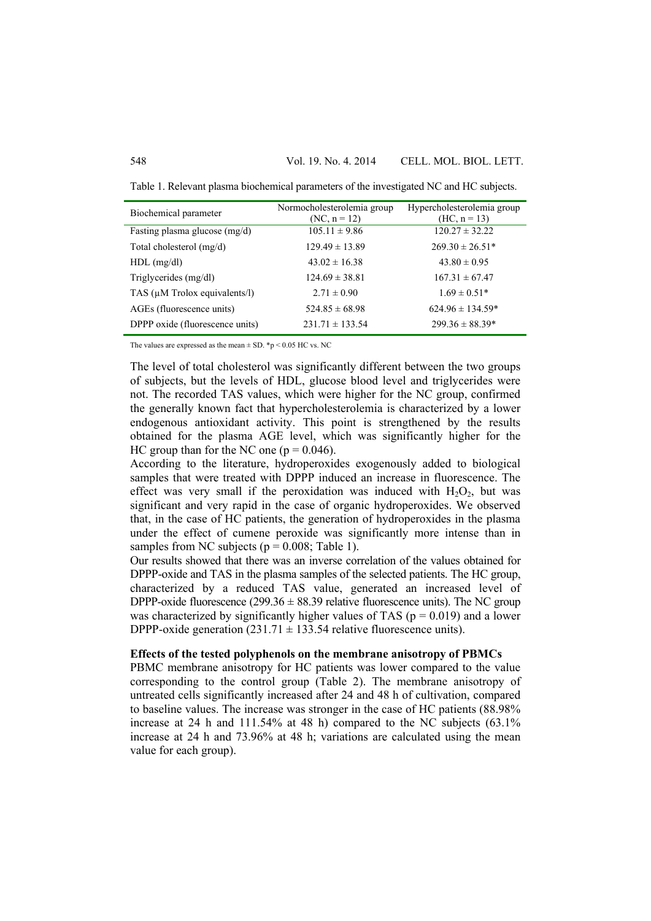Table 1. Relevant plasma biochemical parameters of the investigated NC and HC subjects.

| Biochemical parameter           | Normocholesterolemia group<br>$(NC, n = 12)$ | Hypercholesterolemia group<br>$(HC, n = 13)$ |
|---------------------------------|----------------------------------------------|----------------------------------------------|
| Fasting plasma glucose (mg/d)   | $105.11 \pm 9.86$                            | $120.27 \pm 32.22$                           |
| Total cholesterol $(mg/d)$      | $129.49 \pm 13.89$                           | $269.30 \pm 26.51*$                          |
| $HDL$ (mg/dl)                   | $43.02 \pm 16.38$                            | $43.80 \pm 0.95$                             |
| Triglycerides (mg/dl)           | $124.69 \pm 38.81$                           | $167.31 \pm 67.47$                           |
| TAS (µM Trolox equivalents/l)   | $2.71 \pm 0.90$                              | $1.69 \pm 0.51*$                             |
| AGEs (fluorescence units)       | $524.85 \pm 68.98$                           | $624.96 \pm 134.59*$                         |
| DPPP oxide (fluorescence units) | $231.71 \pm 133.54$                          | $299.36 \pm 88.39*$                          |

The values are expressed as the mean  $\pm$  SD. \*p < 0.05 HC vs. NC

The level of total cholesterol was significantly different between the two groups of subjects, but the levels of HDL, glucose blood level and triglycerides were not. The recorded TAS values, which were higher for the NC group, confirmed the generally known fact that hypercholesterolemia is characterized by a lower endogenous antioxidant activity. This point is strengthened by the results obtained for the plasma AGE level, which was significantly higher for the HC group than for the NC one ( $p = 0.046$ ).

According to the literature, hydroperoxides exogenously added to biological samples that were treated with DPPP induced an increase in fluorescence. The effect was very small if the peroxidation was induced with  $H_2O_2$ , but was significant and very rapid in the case of organic hydroperoxides. We observed that, in the case of HC patients, the generation of hydroperoxides in the plasma under the effect of cumene peroxide was significantly more intense than in samples from NC subjects ( $p = 0.008$ ; Table 1).

Our results showed that there was an inverse correlation of the values obtained for DPPP-oxide and TAS in the plasma samples of the selected patients. The HC group, characterized by a reduced TAS value, generated an increased level of DPPP-oxide fluorescence (299.36  $\pm$  88.39 relative fluorescence units). The NC group was characterized by significantly higher values of TAS ( $p = 0.019$ ) and a lower DPPP-oxide generation  $(231.71 \pm 133.54$  relative fluorescence units).

### **Effects of the tested polyphenols on the membrane anisotropy of PBMCs**

PBMC membrane anisotropy for HC patients was lower compared to the value corresponding to the control group (Table 2). The membrane anisotropy of untreated cells significantly increased after 24 and 48 h of cultivation, compared to baseline values. The increase was stronger in the case of HC patients (88.98% increase at 24 h and 111.54% at 48 h) compared to the NC subjects (63.1% increase at 24 h and 73.96% at 48 h; variations are calculated using the mean value for each group).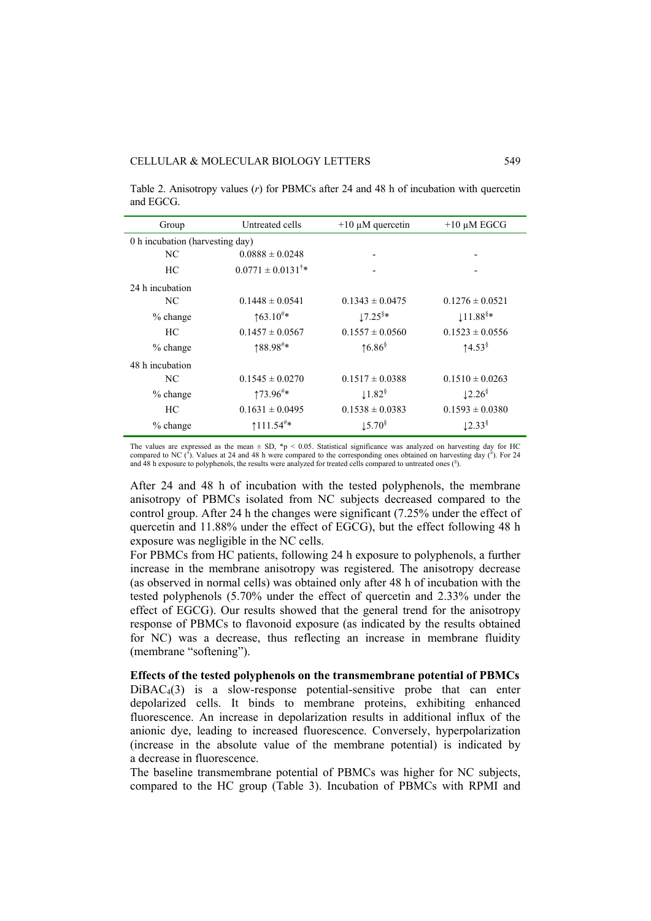Table 2. Anisotropy values (*r*) for PBMCs after 24 and 48 h of incubation with quercetin and EGCG.

| Group                           | Untreated cells                 | $+10 \mu M$ quercetin          | $+10 \mu M EGCG$      |
|---------------------------------|---------------------------------|--------------------------------|-----------------------|
| 0 h incubation (harvesting day) |                                 |                                |                       |
| NC                              | $0.0888 \pm 0.0248$             |                                |                       |
| HС                              | $0.0771 \pm 0.0131^{\dagger}$ * |                                |                       |
| 24 h incubation                 |                                 |                                |                       |
| NC                              | $0.1448 \pm 0.0541$             | $0.1343 \pm 0.0475$            | $0.1276 \pm 0.0521$   |
| $%$ change                      | $\uparrow 63.10^{#}$            | $17.25$ <sup>§*</sup>          | $11.88$ <sup>§*</sup> |
| HС                              | $0.1457 \pm 0.0567$             | $0.1557 \pm 0.0560$            | $0.1523 \pm 0.0556$   |
| $%$ change                      | 188.98#*                        | $16.86$ <sup>§</sup>           | $14.53^{\frac{6}{5}}$ |
| 48 h incubation                 |                                 |                                |                       |
| NC                              | $0.1545 \pm 0.0270$             | $0.1517 \pm 0.0388$            | $0.1510 \pm 0.0263$   |
| $%$ change                      | $173.96^{\text{*}}*$            | $\downarrow$ 1.82 <sup>§</sup> | 12.26 <sup>§</sup>    |
| HС                              | $0.1631 \pm 0.0495$             | $0.1538 \pm 0.0383$            | $0.1593 \pm 0.0380$   |
| $%$ change                      | $111.54$ <sup>#*</sup>          | $\downarrow$ 5.70 <sup>§</sup> | $12.33^{\frac{8}{3}}$ |

The values are expressed as the mean  $\pm$  SD, \*p < 0.05. Statistical significance was analyzed on harvesting day for HC compared to NC  $(\dot{b})$ . Values at 24 and 48 h were compared to the corresponding ones obtained on harvesting day  $(\dot{a})$ . For 24 and 48 h exposure to polyphenols, the results were analyzed for treated cells compared to untreated ones  $(\delta)$ .

After 24 and 48 h of incubation with the tested polyphenols, the membrane anisotropy of PBMCs isolated from NC subjects decreased compared to the control group. After 24 h the changes were significant (7.25% under the effect of quercetin and 11.88% under the effect of EGCG), but the effect following 48 h exposure was negligible in the NC cells.

For PBMCs from HC patients, following 24 h exposure to polyphenols, a further increase in the membrane anisotropy was registered. The anisotropy decrease (as observed in normal cells) was obtained only after 48 h of incubation with the tested polyphenols (5.70% under the effect of quercetin and 2.33% under the effect of EGCG). Our results showed that the general trend for the anisotropy response of PBMCs to flavonoid exposure (as indicated by the results obtained for NC) was a decrease, thus reflecting an increase in membrane fluidity (membrane "softening").

**Effects of the tested polyphenols on the transmembrane potential of PBMCs**   $DiBAC<sub>4</sub>(3)$  is a slow-response potential-sensitive probe that can enter depolarized cells. It binds to membrane proteins, exhibiting enhanced fluorescence. An increase in depolarization results in additional influx of the anionic dye, leading to increased fluorescence. Conversely, hyperpolarization (increase in the absolute value of the membrane potential) is indicated by a decrease in fluorescence.

The baseline transmembrane potential of PBMCs was higher for NC subjects, compared to the HC group (Table 3). Incubation of PBMCs with RPMI and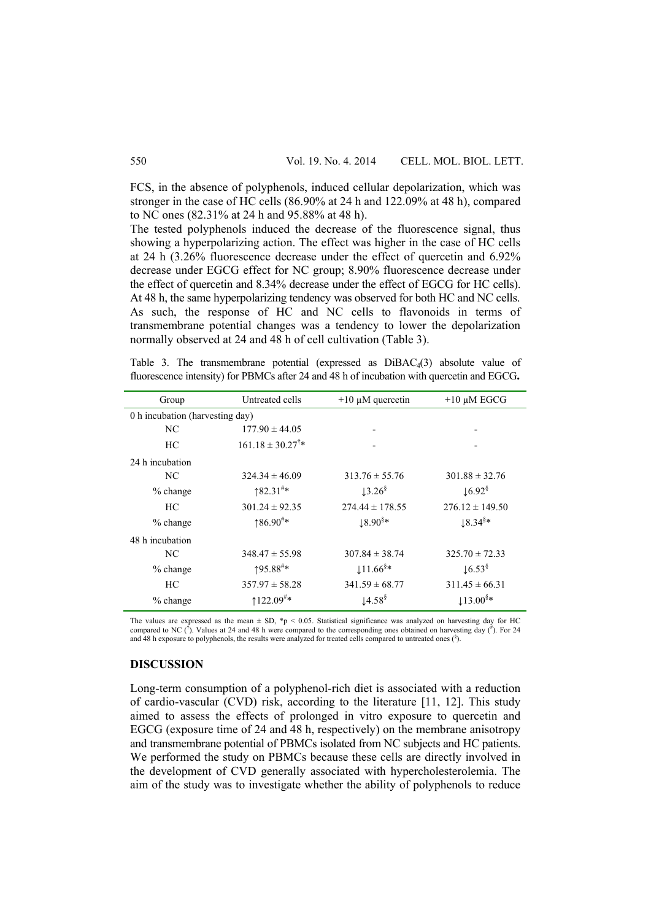FCS, in the absence of polyphenols, induced cellular depolarization, which was stronger in the case of HC cells (86.90% at 24 h and 122.09% at 48 h), compared to NC ones (82.31% at 24 h and 95.88% at 48 h).

The tested polyphenols induced the decrease of the fluorescence signal, thus showing a hyperpolarizing action. The effect was higher in the case of HC cells at 24 h (3.26% fluorescence decrease under the effect of quercetin and 6.92% decrease under EGCG effect for NC group; 8.90% fluorescence decrease under the effect of quercetin and 8.34% decrease under the effect of EGCG for HC cells). At 48 h, the same hyperpolarizing tendency was observed for both HC and NC cells. As such, the response of HC and NC cells to flavonoids in terms of transmembrane potential changes was a tendency to lower the depolarization normally observed at 24 and 48 h of cell cultivation (Table 3).

Table 3. The transmembrane potential (expressed as  $DiBAC<sub>4</sub>(3)$  absolute value of fluorescence intensity) for PBMCs after 24 and 48 h of incubation with quercetin and EGCG**.**

| Group                           | Untreated cells                | $+10 \mu M$ quercetin          | $+10 \mu M EGCG$                     |  |
|---------------------------------|--------------------------------|--------------------------------|--------------------------------------|--|
| 0 h incubation (harvesting day) |                                |                                |                                      |  |
| NC.                             | $177.90 \pm 44.05$             |                                |                                      |  |
| HС                              | $161.18 \pm 30.27^{\dagger}$ * |                                |                                      |  |
| 24 h incubation                 |                                |                                |                                      |  |
| NC                              | $324.34 \pm 46.09$             | $313.76 \pm 55.76$             | $301.88 \pm 32.76$                   |  |
| % change                        | $182.31^{\#}$ *                | $\downarrow$ 3.26 $\delta$     | $\downarrow$ 6.92 <sup>§</sup>       |  |
| HС                              | $301.24 \pm 92.35$             | $274.44 \pm 178.55$            | $276.12 \pm 149.50$                  |  |
| $%$ change                      | $186.90^{#*}$                  | $18.90$ <sup>§*</sup>          | $18.34$ <sup>§*</sup>                |  |
| 48 h incubation                 |                                |                                |                                      |  |
| NC.                             | $348.47 \pm 55.98$             | $307.84 \pm 38.74$             | $325.70 \pm 72.33$                   |  |
| $%$ change                      | 195.88 <sup>#</sup> *          | $11.66$ <sup>§*</sup>          | $\downarrow$ 6.53 $\rm$ <sup>§</sup> |  |
| HС                              | $357.97 \pm 58.28$             | $341.59 \pm 68.77$             | $311.45 \pm 66.31$                   |  |
| $%$ change                      | $122.09^{\text{\#}}*$          | $\downarrow$ 4.58 <sup>§</sup> | $13.00$ <sup>§*</sup>                |  |

The values are expressed as the mean  $\pm$  SD, \*p < 0.05. Statistical significance was analyzed on harvesting day for HC compared to NC ( $\hat{J}$ ). Values at 24 and 48 h were compared to the corresponding ones obtained on h and 48 h exposure to polyphenols, the results were analyzed for treated cells compared to untreated ones  $(\delta)$ .

# **DISCUSSION**

Long-term consumption of a polyphenol-rich diet is associated with a reduction of cardio-vascular (CVD) risk, according to the literature [11, 12]. This study aimed to assess the effects of prolonged in vitro exposure to quercetin and EGCG (exposure time of 24 and 48 h, respectively) on the membrane anisotropy and transmembrane potential of PBMCs isolated from NC subjects and HC patients. We performed the study on PBMCs because these cells are directly involved in the development of CVD generally associated with hypercholesterolemia. The aim of the study was to investigate whether the ability of polyphenols to reduce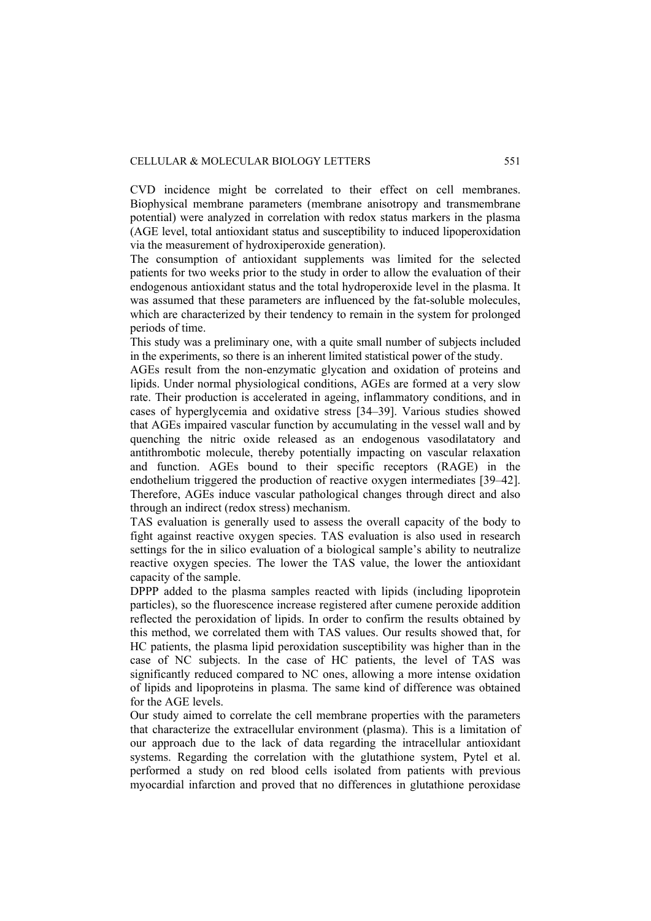#### CELLULAR & MOLECULAR BIOLOGY LETTERS 551

CVD incidence might be correlated to their effect on cell membranes. Biophysical membrane parameters (membrane anisotropy and transmembrane potential) were analyzed in correlation with redox status markers in the plasma (AGE level, total antioxidant status and susceptibility to induced lipoperoxidation via the measurement of hydroxiperoxide generation).

The consumption of antioxidant supplements was limited for the selected patients for two weeks prior to the study in order to allow the evaluation of their endogenous antioxidant status and the total hydroperoxide level in the plasma. It was assumed that these parameters are influenced by the fat-soluble molecules, which are characterized by their tendency to remain in the system for prolonged periods of time.

This study was a preliminary one, with a quite small number of subjects included in the experiments, so there is an inherent limited statistical power of the study.

AGEs result from the non-enzymatic glycation and oxidation of proteins and lipids. Under normal physiological conditions, AGEs are formed at a very slow rate. Their production is accelerated in ageing, inflammatory conditions, and in cases of hyperglycemia and oxidative stress [34–39]. Various studies showed that AGEs impaired vascular function by accumulating in the vessel wall and by quenching the nitric oxide released as an endogenous vasodilatatory and antithrombotic molecule, thereby potentially impacting on vascular relaxation and function. AGEs bound to their specific receptors (RAGE) in the endothelium triggered the production of reactive oxygen intermediates [39–42]. Therefore, AGEs induce vascular pathological changes through direct and also through an indirect (redox stress) mechanism.

TAS evaluation is generally used to assess the overall capacity of the body to fight against reactive oxygen species. TAS evaluation is also used in research settings for the in silico evaluation of a biological sample's ability to neutralize reactive oxygen species. The lower the TAS value, the lower the antioxidant capacity of the sample.

DPPP added to the plasma samples reacted with lipids (including lipoprotein particles), so the fluorescence increase registered after cumene peroxide addition reflected the peroxidation of lipids. In order to confirm the results obtained by this method, we correlated them with TAS values. Our results showed that, for HC patients, the plasma lipid peroxidation susceptibility was higher than in the case of NC subjects. In the case of HC patients, the level of TAS was significantly reduced compared to NC ones, allowing a more intense oxidation of lipids and lipoproteins in plasma. The same kind of difference was obtained for the AGE levels.

Our study aimed to correlate the cell membrane properties with the parameters that characterize the extracellular environment (plasma). This is a limitation of our approach due to the lack of data regarding the intracellular antioxidant systems. Regarding the correlation with the glutathione system, Pytel et al. performed a study on red blood cells isolated from patients with previous myocardial infarction and proved that no differences in glutathione peroxidase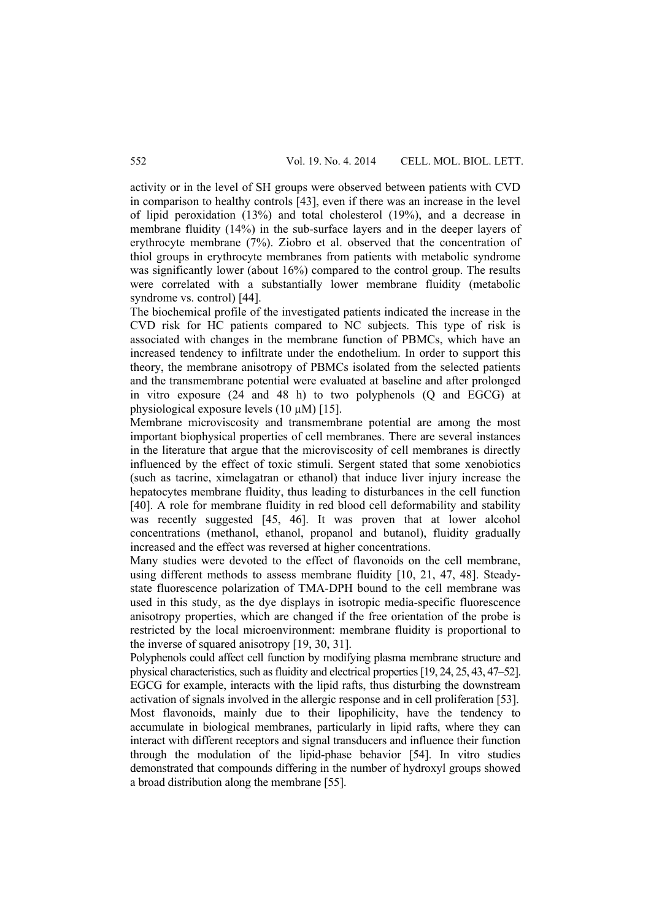activity or in the level of SH groups were observed between patients with CVD in comparison to healthy controls [43], even if there was an increase in the level of lipid peroxidation (13%) and total cholesterol (19%), and a decrease in membrane fluidity (14%) in the sub-surface layers and in the deeper layers of erythrocyte membrane (7%). Ziobro et al. observed that the concentration of thiol groups in erythrocyte membranes from patients with metabolic syndrome was significantly lower (about 16%) compared to the control group. The results were correlated with a substantially lower membrane fluidity (metabolic syndrome vs. control) [44].

The biochemical profile of the investigated patients indicated the increase in the CVD risk for HC patients compared to NC subjects. This type of risk is associated with changes in the membrane function of PBMCs, which have an increased tendency to infiltrate under the endothelium. In order to support this theory, the membrane anisotropy of PBMCs isolated from the selected patients and the transmembrane potential were evaluated at baseline and after prolonged in vitro exposure (24 and 48 h) to two polyphenols (Q and EGCG) at physiological exposure levels  $(10 \mu M)$  [15].

Membrane microviscosity and transmembrane potential are among the most important biophysical properties of cell membranes. There are several instances in the literature that argue that the microviscosity of cell membranes is directly influenced by the effect of toxic stimuli. Sergent stated that some xenobiotics (such as tacrine, ximelagatran or ethanol) that induce liver injury increase the hepatocytes membrane fluidity, thus leading to disturbances in the cell function [40]. A role for membrane fluidity in red blood cell deformability and stability was recently suggested [45, 46]. It was proven that at lower alcohol concentrations (methanol, ethanol, propanol and butanol), fluidity gradually increased and the effect was reversed at higher concentrations.

Many studies were devoted to the effect of flavonoids on the cell membrane, using different methods to assess membrane fluidity [10, 21, 47, 48]. Steadystate fluorescence polarization of TMA-DPH bound to the cell membrane was used in this study, as the dye displays in isotropic media-specific fluorescence anisotropy properties, which are changed if the free orientation of the probe is restricted by the local microenvironment: membrane fluidity is proportional to the inverse of squared anisotropy [19, 30, 31].

Polyphenols could affect cell function by modifying plasma membrane structure and physical characteristics, such as fluidity and electrical properties [19, 24, 25, 43, 47–52]. EGCG for example, interacts with the lipid rafts, thus disturbing the downstream activation of signals involved in the allergic response and in cell proliferation [53]. Most flavonoids, mainly due to their lipophilicity, have the tendency to accumulate in biological membranes, particularly in lipid rafts, where they can interact with different receptors and signal transducers and influence their function through the modulation of the lipid-phase behavior [54]. In vitro studies demonstrated that compounds differing in the number of hydroxyl groups showed a broad distribution along the membrane [55].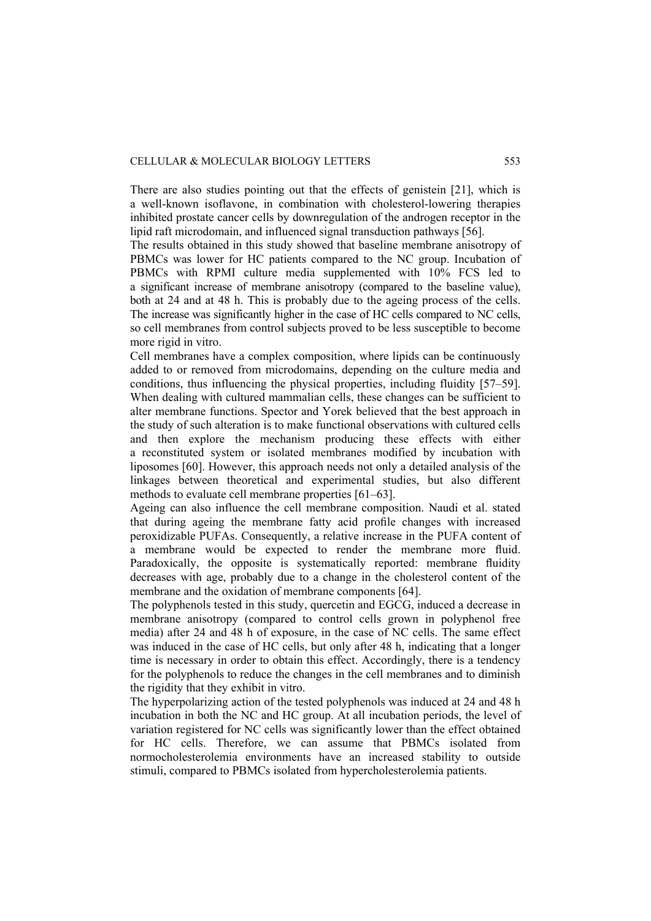There are also studies pointing out that the effects of genistein [21], which is a well-known isoflavone, in combination with cholesterol-lowering therapies inhibited prostate cancer cells by downregulation of the androgen receptor in the lipid raft microdomain, and influenced signal transduction pathways [56].

The results obtained in this study showed that baseline membrane anisotropy of PBMCs was lower for HC patients compared to the NC group. Incubation of PBMCs with RPMI culture media supplemented with 10% FCS led to a significant increase of membrane anisotropy (compared to the baseline value), both at 24 and at 48 h. This is probably due to the ageing process of the cells. The increase was significantly higher in the case of HC cells compared to NC cells, so cell membranes from control subjects proved to be less susceptible to become more rigid in vitro.

Cell membranes have a complex composition, where lipids can be continuously added to or removed from microdomains, depending on the culture media and conditions, thus influencing the physical properties, including fluidity [57–59]. When dealing with cultured mammalian cells, these changes can be sufficient to alter membrane functions. Spector and Yorek believed that the best approach in the study of such alteration is to make functional observations with cultured cells and then explore the mechanism producing these effects with either a reconstituted system or isolated membranes modified by incubation with liposomes [60]. However, this approach needs not only a detailed analysis of the linkages between theoretical and experimental studies, but also different methods to evaluate cell membrane properties [61–63].

Ageing can also influence the cell membrane composition. Naudi et al. stated that during ageing the membrane fatty acid profile changes with increased peroxidizable PUFAs. Consequently, a relative increase in the PUFA content of a membrane would be expected to render the membrane more fluid. Paradoxically, the opposite is systematically reported: membrane fluidity decreases with age, probably due to a change in the cholesterol content of the membrane and the oxidation of membrane components [64].

The polyphenols tested in this study, quercetin and EGCG, induced a decrease in membrane anisotropy (compared to control cells grown in polyphenol free media) after 24 and 48 h of exposure, in the case of NC cells. The same effect was induced in the case of HC cells, but only after 48 h, indicating that a longer time is necessary in order to obtain this effect. Accordingly, there is a tendency for the polyphenols to reduce the changes in the cell membranes and to diminish the rigidity that they exhibit in vitro.

The hyperpolarizing action of the tested polyphenols was induced at 24 and 48 h incubation in both the NC and HC group. At all incubation periods, the level of variation registered for NC cells was significantly lower than the effect obtained for HC cells. Therefore, we can assume that PBMCs isolated from normocholesterolemia environments have an increased stability to outside stimuli, compared to PBMCs isolated from hypercholesterolemia patients.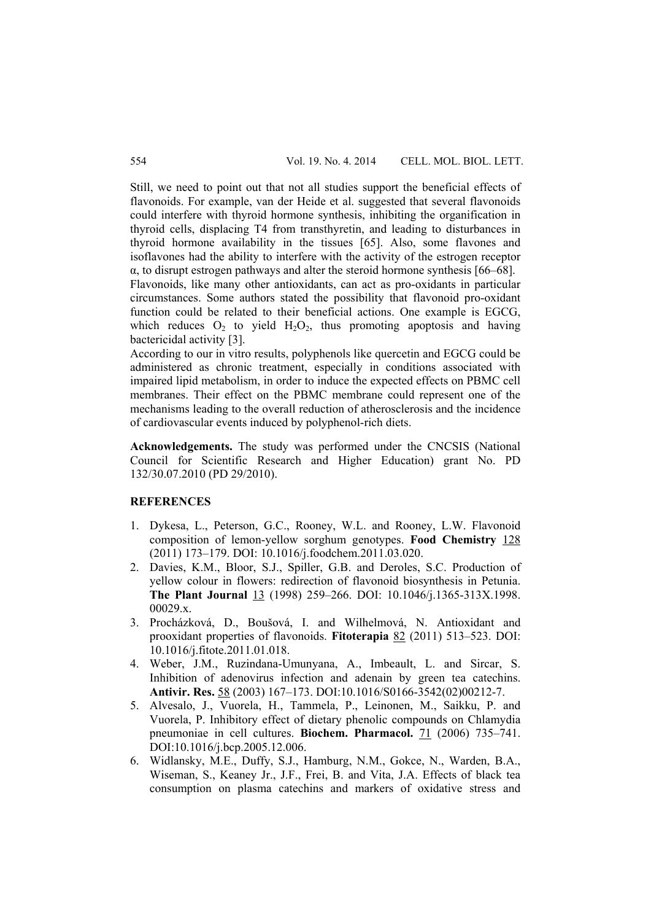Still, we need to point out that not all studies support the beneficial effects of flavonoids. For example, van der Heide et al. suggested that several flavonoids could interfere with thyroid hormone synthesis, inhibiting the organification in thyroid cells, displacing T4 from transthyretin, and leading to disturbances in thyroid hormone availability in the tissues [65]. Also, some flavones and isoflavones had the ability to interfere with the activity of the estrogen receptor  $\alpha$ , to disrupt estrogen pathways and alter the steroid hormone synthesis [66–68].

Flavonoids, like many other antioxidants, can act as pro-oxidants in particular circumstances. Some authors stated the possibility that flavonoid pro-oxidant function could be related to their beneficial actions. One example is EGCG, which reduces  $O_2$  to yield  $H_2O_2$ , thus promoting apoptosis and having bactericidal activity [3].

According to our in vitro results, polyphenols like quercetin and EGCG could be administered as chronic treatment, especially in conditions associated with impaired lipid metabolism, in order to induce the expected effects on PBMC cell membranes. Their effect on the PBMC membrane could represent one of the mechanisms leading to the overall reduction of atherosclerosis and the incidence of cardiovascular events induced by polyphenol-rich diets.

**Acknowledgements.** The study was performed under the CNCSIS (National Council for Scientific Research and Higher Education) grant No. PD 132/30.07.2010 (PD 29/2010).

# **REFERENCES**

- 1. Dykesa, L., Peterson, G.C., Rooney, W.L. and Rooney, L.W. Flavonoid composition of lemon-yellow sorghum genotypes. **Food Chemistry** 128 (2011) 173–179. DOI: 10.1016/j.foodchem.2011.03.020.
- 2. Davies, K.M., Bloor, S.J., Spiller, G.B. and Deroles, S.C. Production of yellow colour in flowers: redirection of flavonoid biosynthesis in Petunia. **The Plant Journal** 13 (1998) 259–266. DOI: 10.1046/j.1365-313X.1998. 00029.x.
- 3. Procházková, D., Boušová, I. and Wilhelmová, N. Antioxidant and prooxidant properties of flavonoids. **Fitoterapia** 82 (2011) 513–523. DOI: 10.1016/j.fitote.2011.01.018.
- 4. Weber, J.M., Ruzindana-Umunyana, A., Imbeault, L. and Sircar, S. Inhibition of adenovirus infection and adenain by green tea catechins. **Antivir. Res.** 58 (2003) 167–173. DOI:10.1016/S0166-3542(02)00212-7.
- 5. Alvesalo, J., Vuorela, H., Tammela, P., Leinonen, M., Saikku, P. and Vuorela, P. Inhibitory effect of dietary phenolic compounds on Chlamydia pneumoniae in cell cultures. **Biochem. Pharmacol.** 71 (2006) 735–741. DOI:10.1016/j.bcp.2005.12.006.
- 6. Widlansky, M.E., Duffy, S.J., Hamburg, N.M., Gokce, N., Warden, B.A., Wiseman, S., Keaney Jr., J.F., Frei, B. and Vita, J.A. Effects of black tea consumption on plasma catechins and markers of oxidative stress and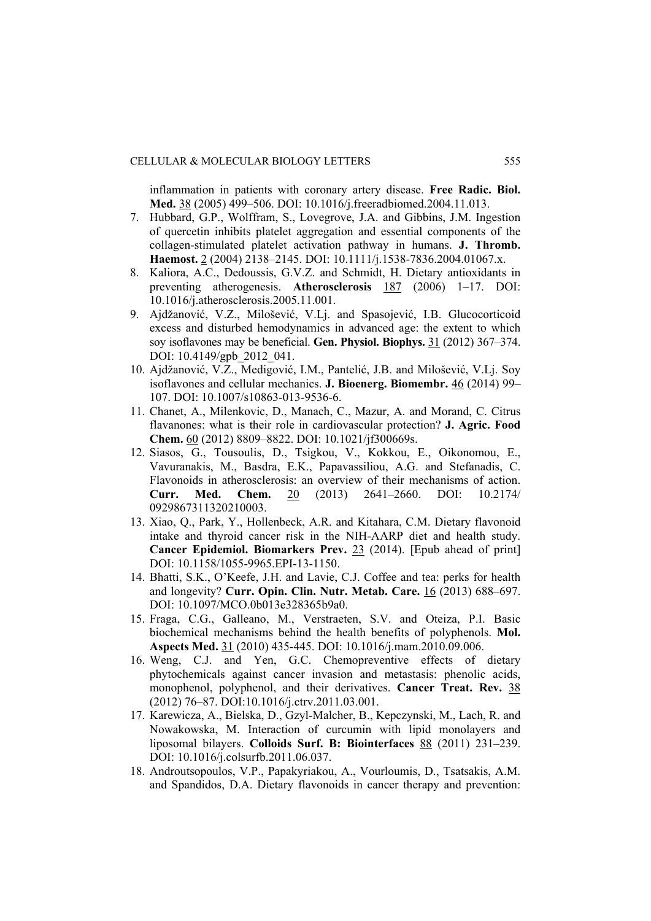inflammation in patients with coronary artery disease. **Free Radic. Biol. Med.** 38 (2005) 499–506. DOI: 10.1016/j.freeradbiomed.2004.11.013.

- 7. Hubbard, G.P., Wolffram, S., Lovegrove, J.A. and Gibbins, J.M. Ingestion of quercetin inhibits platelet aggregation and essential components of the collagen-stimulated platelet activation pathway in humans. **J. Thromb. Haemost.** 2 (2004) 2138–2145. DOI: 10.1111/j.1538-7836.2004.01067.x.
- 8. Kaliora, A.C., Dedoussis, G.V.Z. and Schmidt, H. Dietary antioxidants in preventing atherogenesis. **Atherosclerosis** 187 (2006) 1–17. DOI: 10.1016/j.atherosclerosis.2005.11.001.
- 9. Ajdžanović, V.Z., Milošević, V.Lj. and Spasojević, I.B. Glucocorticoid excess and disturbed hemodynamics in advanced age: the extent to which soy isoflavones may be beneficial. **Gen. Physiol. Biophys.** 31 (2012) 367–374. DOI: 10.4149/gpb 2012 041.
- 10. Ajdžanović, V.Z., Medigović, I.M., Pantelić, J.B. and Milošević, V.Lj. Soy isoflavones and cellular mechanics. **J. Bioenerg. Biomembr.** 46 (2014) 99– 107. DOI: 10.1007/s10863-013-9536-6.
- 11. Chanet, A., Milenkovic, D., Manach, C., Mazur, A. and Morand, C. Citrus flavanones: what is their role in cardiovascular protection? **J. Agric. Food Chem.** 60 (2012) 8809–8822. DOI: 10.1021/jf300669s.
- 12. Siasos, G., Tousoulis, D., Tsigkou, V., Kokkou, E., Oikonomou, E., Vavuranakis, M., Basdra, E.K., Papavassiliou, A.G. and Stefanadis, C. Flavonoids in atherosclerosis: an overview of their mechanisms of action. **Curr. Med. Chem.** 20 (2013) 2641–2660. DOI: 10.2174/ 0929867311320210003.
- 13. Xiao, Q., Park, Y., Hollenbeck, A.R. and Kitahara, C.M. Dietary flavonoid intake and thyroid cancer risk in the NIH-AARP diet and health study. **Cancer Epidemiol. Biomarkers Prev.** 23 (2014). [Epub ahead of print] DOI: 10.1158/1055-9965.EPI-13-1150.
- 14. Bhatti, S.K., O'Keefe, J.H. and Lavie, C.J. Coffee and tea: perks for health and longevity? **Curr. Opin. Clin. Nutr. Metab. Care.** 16 (2013) 688–697. DOI: 10.1097/MCO.0b013e328365b9a0.
- 15. Fraga, C.G., Galleano, M., Verstraeten, S.V. and Oteiza, P.I. Basic biochemical mechanisms behind the health benefits of polyphenols. **Mol. Aspects Med.** 31 (2010) 435-445. DOI: 10.1016/j.mam.2010.09.006.
- 16. Weng, C.J. and Yen, G.C. Chemopreventive effects of dietary phytochemicals against cancer invasion and metastasis: phenolic acids, monophenol, polyphenol, and their derivatives. **Cancer Treat. Rev.** 38 (2012) 76–87. DOI:10.1016/j.ctrv.2011.03.001.
- 17. Karewicza, A., Bielska, D., Gzyl-Malcher, B., Kepczynski, M., Lach, R. and Nowakowska, M. Interaction of curcumin with lipid monolayers and liposomal bilayers. **Colloids Surf. B: Biointerfaces** 88 (2011) 231–239. DOI: 10.1016/j.colsurfb.2011.06.037.
- 18. Androutsopoulos, V.P., Papakyriakou, A., Vourloumis, D., Tsatsakis, A.M. and Spandidos, D.A. Dietary flavonoids in cancer therapy and prevention: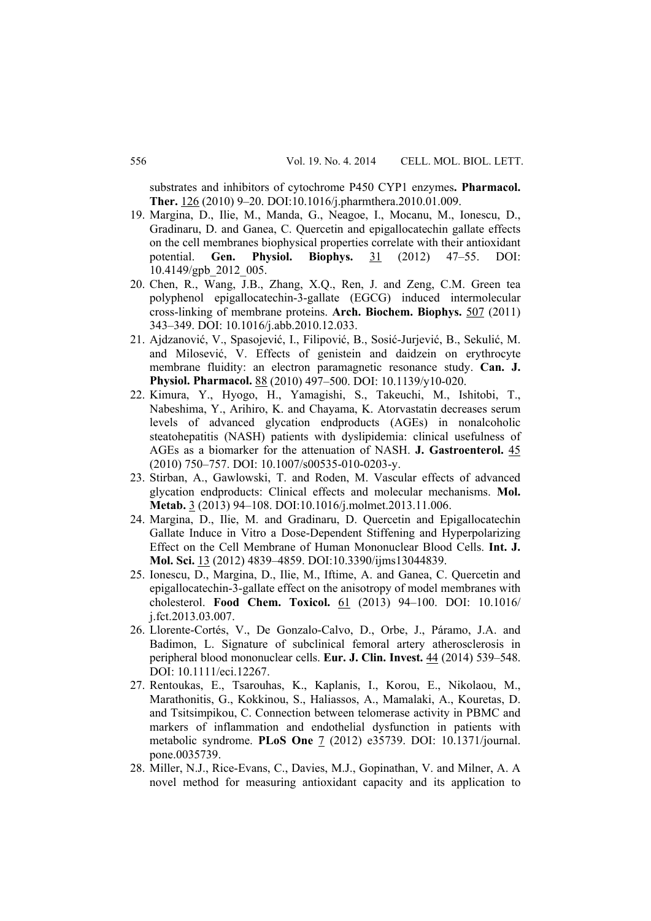substrates and inhibitors of cytochrome P450 CYP1 enzymes**. Pharmacol. Ther.** 126 (2010) 9–20. DOI:10.1016/j.pharmthera.2010.01.009.

- 19. Margina, D., Ilie, M., Manda, G., Neagoe, I., Mocanu, M., Ionescu, D., Gradinaru, D. and Ganea, C. Quercetin and epigallocatechin gallate effects on the cell membranes biophysical properties correlate with their antioxidant potential. **Gen. Physiol. Biophys.** 31 (2012) 47–55. DOI: 10.4149/gpb\_2012\_005.
- 20. Chen, R., Wang, J.B., Zhang, X.Q., Ren, J. and Zeng, C.M. Green tea polyphenol epigallocatechin-3-gallate (EGCG) induced intermolecular cross-linking of membrane proteins. **Arch. Biochem. Biophys.** 507 (2011) 343–349. DOI: 10.1016/j.abb.2010.12.033.
- 21. Ajdzanović, V., Spasojević, I., Filipović, B., Sosić-Jurjević, B., Sekulić, M. and Milosević, V. Effects of genistein and daidzein on erythrocyte membrane fluidity: an electron paramagnetic resonance study. **Can. J. Physiol. Pharmacol.** 88 (2010) 497–500. DOI: 10.1139/y10-020.
- 22. Kimura, Y., Hyogo, H., Yamagishi, S., Takeuchi, M., Ishitobi, T., Nabeshima, Y., Arihiro, K. and Chayama, K. Atorvastatin decreases serum levels of advanced glycation endproducts (AGEs) in nonalcoholic steatohepatitis (NASH) patients with dyslipidemia: clinical usefulness of AGEs as a biomarker for the attenuation of NASH. **J. Gastroenterol.** 45 (2010) 750–757. DOI: 10.1007/s00535-010-0203-y.
- 23. Stirban, A., Gawlowski, T. and Roden, M. Vascular effects of advanced glycation endproducts: Clinical effects and molecular mechanisms. **Mol. Metab.** 3 (2013) 94–108. DOI:10.1016/j.molmet.2013.11.006.
- 24. Margina, D., Ilie, M. and Gradinaru, D. Quercetin and Epigallocatechin Gallate Induce in Vitro a Dose-Dependent Stiffening and Hyperpolarizing Effect on the Cell Membrane of Human Mononuclear Blood Cells. **Int. J. Mol. Sci.** 13 (2012) 4839–4859. DOI:10.3390/ijms13044839.
- 25. Ionescu, D., Margina, D., Ilie, M., Iftime, A. and Ganea, C. Quercetin and epigallocatechin-3-gallate effect on the anisotropy of model membranes with cholesterol. **Food Chem. Toxicol.** 61 (2013) 94–100. DOI: 10.1016/ j.fct.2013.03.007.
- 26. Llorente-Cortés, V., De Gonzalo-Calvo, D., Orbe, J., Páramo, J.A. and Badimon, L. Signature of subclinical femoral artery atherosclerosis in peripheral blood mononuclear cells. **Eur. J. Clin. Invest.** 44 (2014) 539–548. DOI: 10.1111/eci.12267.
- 27. Rentoukas, E., Tsarouhas, K., Kaplanis, I., Korou, E., Nikolaou, M., Marathonitis, G., Kokkinou, S., Haliassos, A., Mamalaki, A., Kouretas, D. and Tsitsimpikou, C. Connection between telomerase activity in PBMC and markers of inflammation and endothelial dysfunction in patients with metabolic syndrome. **PLoS One** 7 (2012) e35739. DOI: 10.1371/journal. pone.0035739.
- 28. Miller, N.J., Rice-Evans, C., Davies, M.J., Gopinathan, V. and Milner, A. A novel method for measuring antioxidant capacity and its application to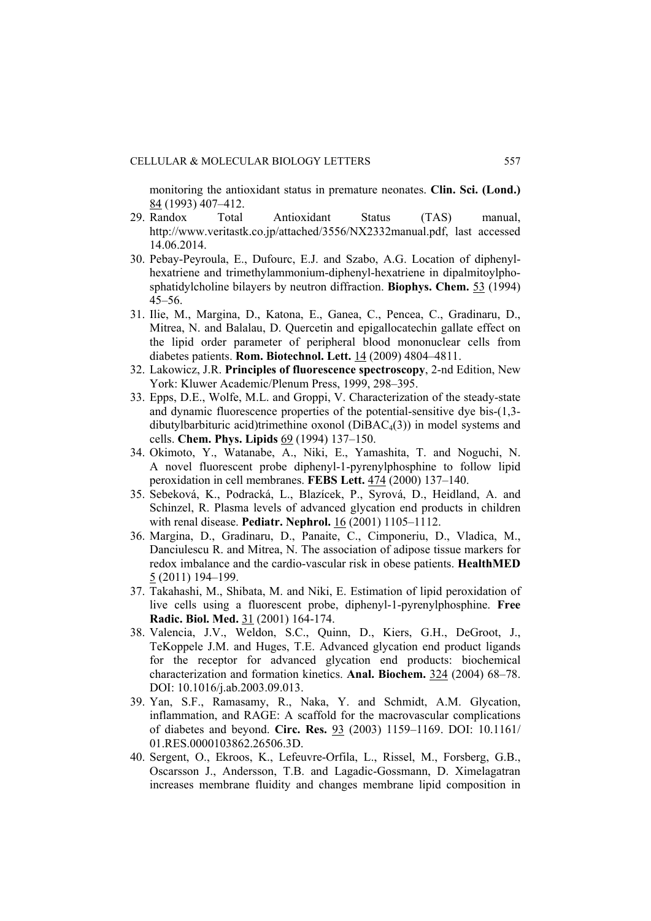monitoring the antioxidant status in premature neonates. **Clin. Sci. (Lond.)** 84 (1993) 407–412.

- 29. Randox Total Antioxidant Status (TAS) manual, http://www.veritastk.co.jp/attached/3556/NX2332manual.pdf, last accessed 14.06.2014.
- 30. Pebay-Peyroula, E., Dufourc, E.J. and Szabo, A.G. Location of diphenylhexatriene and trimethylammonium-diphenyl-hexatriene in dipalmitoylphosphatidylcholine bilayers by neutron diffraction. **Biophys. Chem.** 53 (1994) 45–56.
- 31. Ilie, M., Margina, D., Katona, E., Ganea, C., Pencea, C., Gradinaru, D., Mitrea, N. and Balalau, D. Quercetin and epigallocatechin gallate effect on the lipid order parameter of peripheral blood mononuclear cells from diabetes patients. **Rom. Biotechnol. Lett.** 14 (2009) 4804–4811.
- 32. Lakowicz, J.R. **Principles of fluorescence spectroscopy**, 2-nd Edition, New York: Kluwer Academic/Plenum Press, 1999, 298–395.
- 33. Epps, D.E., Wolfe, M.L. and Groppi, V. Characterization of the steady-state and dynamic fluorescence properties of the potential-sensitive dye bis-(1,3 dibutylbarbituric acid)trimethine oxonol ( $DiBAC<sub>4</sub>(3)$ ) in model systems and cells. **Chem. Phys. Lipids** 69 (1994) 137–150.
- 34. Okimoto, Y., Watanabe, A., Niki, E., Yamashita, T. and Noguchi, N. A novel fluorescent probe diphenyl-1-pyrenylphosphine to follow lipid peroxidation in cell membranes. **FEBS Lett.** 474 (2000) 137–140.
- 35. Sebeková, K., Podracká, L., Blazícek, P., Syrová, D., Heidland, A. and Schinzel, R. Plasma levels of advanced glycation end products in children with renal disease. **Pediatr. Nephrol.** 16 (2001) 1105–1112.
- 36. Margina, D., Gradinaru, D., Panaite, C., Cimponeriu, D., Vladica, M., Danciulescu R. and Mitrea, N. The association of adipose tissue markers for redox imbalance and the cardio-vascular risk in obese patients. **HealthMED** 5 (2011) 194–199.
- 37. Takahashi, M., Shibata, M. and Niki, E. Estimation of lipid peroxidation of live cells using a fluorescent probe, diphenyl-1-pyrenylphosphine. **Free Radic. Biol. Med.** 31 (2001) 164-174.
- 38. Valencia, J.V., Weldon, S.C., Quinn, D., Kiers, G.H., DeGroot, J., TeKoppele J.M. and Huges, T.E. Advanced glycation end product ligands for the receptor for advanced glycation end products: biochemical characterization and formation kinetics. **Anal. Biochem.** 324 (2004) 68–78. DOI: 10.1016/j.ab.2003.09.013.
- 39. Yan, S.F., Ramasamy, R., Naka, Y. and Schmidt, A.M. Glycation, inflammation, and RAGE: A scaffold for the macrovascular complications of diabetes and beyond. **Circ. Res.** 93 (2003) 1159–1169. DOI: 10.1161/ 01.RES.0000103862.26506.3D.
- 40. Sergent, O., Ekroos, K., Lefeuvre-Orfila, L., Rissel, M., Forsberg, G.B., Oscarsson J., Andersson, T.B. and Lagadic-Gossmann, D. Ximelagatran increases membrane fluidity and changes membrane lipid composition in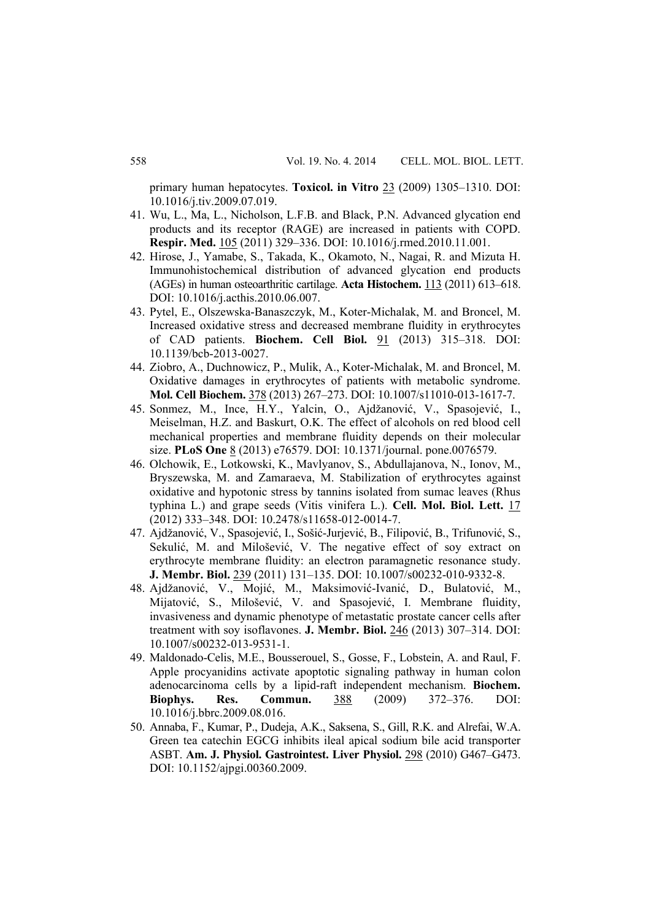primary human hepatocytes. **Toxicol. in Vitro** 23 (2009) 1305–1310. DOI: 10.1016/j.tiv.2009.07.019.

- 41. Wu, L., Ma, L., Nicholson, L.F.B. and Black, P.N. Advanced glycation end products and its receptor (RAGE) are increased in patients with COPD. **Respir. Med.** 105 (2011) 329–336. DOI: 10.1016/j.rmed.2010.11.001.
- 42. Hirose, J., Yamabe, S., Takada, K., Okamoto, N., Nagai, R. and Mizuta H. Immunohistochemical distribution of advanced glycation end products (AGEs) in human osteoarthritic cartilage. **Acta Histochem.** 113 (2011) 613–618. DOI: 10.1016/j.acthis.2010.06.007.
- 43. Pytel, E., Olszewska-Banaszczyk, M., Koter-Michalak, M. and Broncel, M. Increased oxidative stress and decreased membrane fluidity in erythrocytes of CAD patients. **Biochem. Cell Biol.** 91 (2013) 315–318. DOI: 10.1139/bcb-2013-0027.
- 44. Ziobro, A., Duchnowicz, P., Mulik, A., Koter-Michalak, M. and Broncel, M. Oxidative damages in erythrocytes of patients with metabolic syndrome. **Mol. Cell Biochem.** 378 (2013) 267–273. DOI: 10.1007/s11010-013-1617-7.
- 45. Sonmez, M., Ince, H.Y., Yalcin, O., Ajdžanović, V., Spasojević, I., Meiselman, H.Z. and Baskurt, O.K. The effect of alcohols on red blood cell mechanical properties and membrane fluidity depends on their molecular size. **PLoS One** 8 (2013) e76579. DOI: 10.1371/journal. pone.0076579.
- 46. Olchowik, E., Lotkowski, K., Mavlyanov, S., Abdullajanova, N., Ionov, M., Bryszewska, M. and Zamaraeva, M. Stabilization of erythrocytes against oxidative and hypotonic stress by tannins isolated from sumac leaves (Rhus typhina L.) and grape seeds (Vitis vinifera L.). **Cell. Mol. Biol. Lett.** 17 (2012) 333–348. DOI: 10.2478/s11658-012-0014-7.
- 47. Ajdžanović, V., Spasojević, I., Sošić-Jurjević, B., Filipović, B., Trifunović, S., Sekulić, M. and Milošević, V. The negative effect of soy extract on erythrocyte membrane fluidity: an electron paramagnetic resonance study. **J. Membr. Biol.** 239 (2011) 131–135. DOI: 10.1007/s00232-010-9332-8.
- 48. Ajdžanović, V., Mojić, M., Maksimović-Ivanić, D., Bulatović, M., Mijatović, S., Milošević, V. and Spasojević, I. Membrane fluidity, invasiveness and dynamic phenotype of metastatic prostate cancer cells after treatment with soy isoflavones. **J. Membr. Biol.** 246 (2013) 307–314. DOI: 10.1007/s00232-013-9531-1.
- 49. Maldonado-Celis, M.E., Bousserouel, S., Gosse, F., Lobstein, A. and Raul, F. Apple procyanidins activate apoptotic signaling pathway in human colon adenocarcinoma cells by a lipid-raft independent mechanism. **Biochem. Biophys. Res. Commun.** 388 (2009) 372–376. DOI: 10.1016/j.bbrc.2009.08.016.
- 50. Annaba, F., Kumar, P., Dudeja, A.K., Saksena, S., Gill, R.K. and Alrefai, W.A. Green tea catechin EGCG inhibits ileal apical sodium bile acid transporter ASBT. **Am. J. Physiol. Gastrointest. Liver Physiol.** 298 (2010) G467–G473. DOI: 10.1152/ajpgi.00360.2009.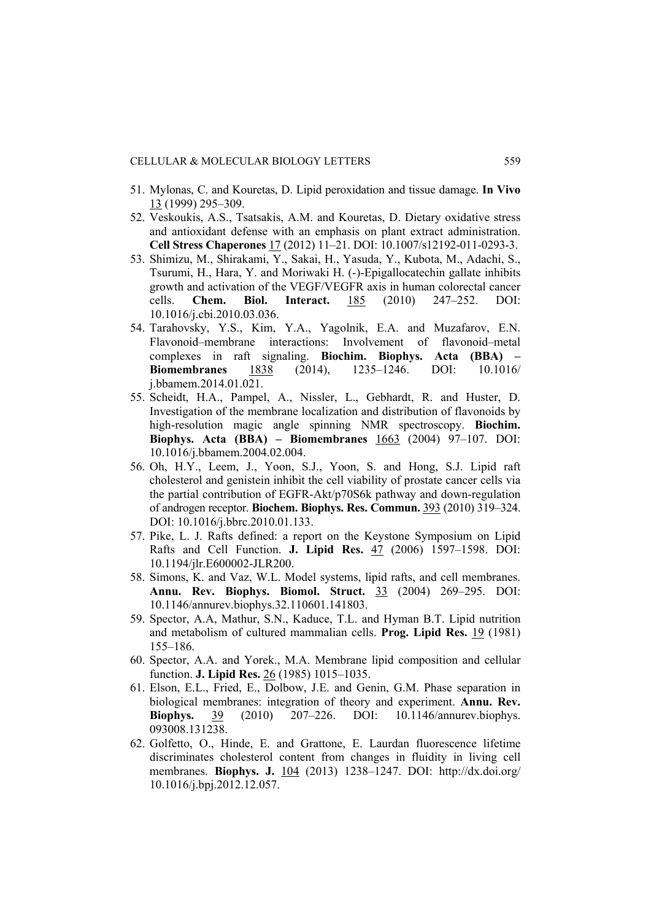- 51. Mylonas, C. and Kouretas, D. Lipid peroxidation and tissue damage. **In Vivo** 13 (1999) 295–309.
- 52. Veskoukis, A.S., Tsatsakis, A.M. and Kouretas, D. Dietary oxidative stress and antioxidant defense with an emphasis on plant extract administration. **Cell Stress Chaperones** 17 (2012) 11–21. DOI: 10.1007/s12192-011-0293-3.
- 53. Shimizu, M., Shirakami, Y., Sakai, H., Yasuda, Y., Kubota, M., Adachi, S., Tsurumi, H., Hara, Y. and Moriwaki H. (-)-Epigallocatechin gallate inhibits growth and activation of the VEGF/VEGFR axis in human colorectal cancer cells. **Chem. Biol. Interact.** 185 (2010) 247–252. DOI: 10.1016/j.cbi.2010.03.036.
- 54. Tarahovsky, Y.S., Kim, Y.A., Yagolnik, E.A. and Muzafarov, E.N. Flavonoid–membrane interactions: Involvement of flavonoid–metal complexes in raft signaling. **Biochim. Biophys. Acta (BBA) – Biomembranes** 1838 (2014), 1235–1246. DOI: 10.1016/ j.bbamem.2014.01.021.
- 55. Scheidt, H.A., Pampel, A., Nissler, L., Gebhardt, R. and Huster, D. Investigation of the membrane localization and distribution of flavonoids by high-resolution magic angle spinning NMR spectroscopy. **Biochim. Biophys. Acta (BBA) – Biomembranes** 1663 (2004) 97–107. DOI: 10.1016/j.bbamem.2004.02.004.
- 56. Oh, H.Y., Leem, J., Yoon, S.J., Yoon, S. and Hong, S.J. Lipid raft cholesterol and genistein inhibit the cell viability of prostate cancer cells via the partial contribution of EGFR-Akt/p70S6k pathway and down-regulation of androgen receptor. **Biochem. Biophys. Res. Commun.** 393 (2010) 319–324. DOI: 10.1016/j.bbrc.2010.01.133.
- 57. Pike, L. J. Rafts defined: a report on the Keystone Symposium on Lipid Rafts and Cell Function. **J. Lipid Res.** 47 (2006) 1597–1598. DOI: 10.1194/jlr.E600002-JLR200.
- 58. Simons, K. and Vaz, W.L. Model systems, lipid rafts, and cell membranes. **Annu. Rev. Biophys. Biomol. Struct.** 33 (2004) 269–295. DOI: 10.1146/annurev.biophys.32.110601.141803.
- 59. Spector, A.A, Mathur, S.N., Kaduce, T.L. and Hyman B.T. Lipid nutrition and metabolism of cultured mammalian cells. **Prog. Lipid Res.** 19 (1981) 155–186.
- 60. Spector, A.A. and Yorek., M.A. Membrane lipid composition and cellular function. **J. Lipid Res.** 26 (1985) 1015–1035.
- 61. Elson, E.L., Fried, E., Dolbow, J.E. and Genin, G.M. Phase separation in biological membranes: integration of theory and experiment. **Annu. Rev. Biophys.** 39 (2010) 207–226. DOI: 10.1146/annurev.biophys. 093008.131238.
- 62. Golfetto, O., Hinde, E. and Grattone, E. Laurdan fluorescence lifetime discriminates cholesterol content from changes in fluidity in living cell membranes. **Biophys. J.** 104 (2013) 1238–1247. DOI: http://dx.doi.org/ 10.1016/j.bpj.2012.12.057.